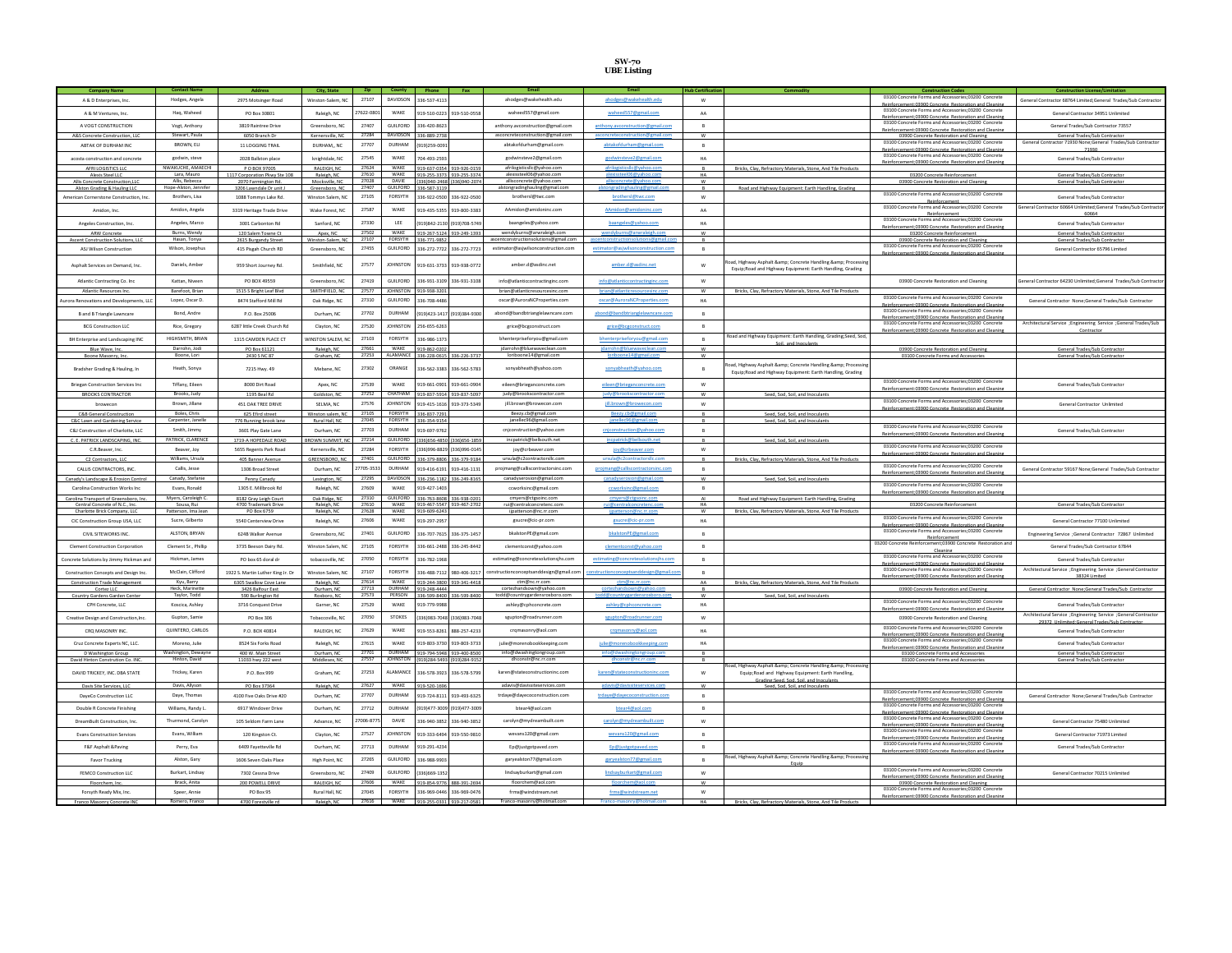## **SW-70 UBE Listing**

| A & D Enterprises, Inc.                   | Hodges, Angela                   | 2975 Motsinger Road                    | Winston-Salem, NC         | 27107          | <b>DAVIDSON</b><br>336-537-4113                           |                            | ahodges@wakehealth.edu                             | ahodges@wakehealth.edu               | W              |                                                                                     | 03100 Concrete Forms and Accessories:03200 Concrete                                                          | General Contractor 68764 Limited; General Trades/Sub Contracto   |
|-------------------------------------------|----------------------------------|----------------------------------------|---------------------------|----------------|-----------------------------------------------------------|----------------------------|----------------------------------------------------|--------------------------------------|----------------|-------------------------------------------------------------------------------------|--------------------------------------------------------------------------------------------------------------|------------------------------------------------------------------|
|                                           |                                  |                                        |                           |                |                                                           |                            |                                                    |                                      |                |                                                                                     | Reinforcement:03900 Concrete Restoration and Cleaning                                                        |                                                                  |
| A & M Ventures, Inc.                      | Haq, Waheed                      | PO Box 30801                           | Raleigh, NC               | 17622-080      | WAKE<br>919-510-0223                                      | 919-510-055                | waheed557@gmail.com                                | waheed557@gmail.com                  | AA             |                                                                                     | 03100 Concrete Forms and Accessories;03200 Concret                                                           | General Contractor 34951 Unlimited                               |
|                                           |                                  |                                        |                           |                |                                                           |                            |                                                    |                                      |                |                                                                                     | Reinforcement:03900 Concrete Restoration and Cleanin                                                         |                                                                  |
| A VOGT CONSTRUCTION                       | Voet, Anthony                    | 3819 Raintree Drive                    | Greensboro, NC            | 27407          | GUILFORD<br>336-420-8623                                  |                            | anthony.avconstruction@gmail.com                   | anthony.avconstruction@gmail.com     | $\overline{R}$ |                                                                                     | 03100 Concrete Forms and Accessories:03200 Concrete<br>einforcement:03900 Concrete Restoration and Cleanin   | General Trades/Sub Contractor 73557                              |
| A&S Concrete Construction, LLC            | Stewart, Paula                   | 6050 Branch Dr                         | Kernersville, NC          | 27284          | DAVIDSON<br>336-889-2738                                  |                            | asconcreteconstruction@gmail.com                   |                                      | w              |                                                                                     | 03900 Concrete Restoration and Cleaning                                                                      | General Trades/Sub Contractor                                    |
| ARTAK OF DURHAM INC.                      | BROWN, ELI                       | 11 LOGGING TRAIL                       | DURHAM NC                 | 27707          | <b>DURHAM</b><br>9191259-009                              |                            | abtakofdurham@gmail.com                            | abtakofdurham@gmail.com              | $\overline{R}$ |                                                                                     | 03100 Concrete Forms and Accessories:03200 Concrete                                                          | General Contractor 71930 None; General Trades/Sub Contractor     |
|                                           |                                  |                                        |                           |                |                                                           |                            |                                                    |                                      |                |                                                                                     | einforcement:03900 Concrete Restoration and Cleanin                                                          | 71930                                                            |
| acosta construction and concrete          | godwin, steve                    | 2028 Ballston place                    | knightdale, NC            | 27545          | <b>WAKE</b><br>704-493-2593                               |                            | godwinsteve2@gmail.com                             | godwinsteve2@gmail.com               | HA             |                                                                                     | 03100 Concrete Forms and Accessories:03200 Concrete                                                          | General Trades/Sub Contracto                                     |
| AFRI LOGISTICS LLC                        | NWAKLICHE AMAECHL                | PO BOX 97005                           | RALEIGH, NC               | 27624          | WAKE<br>919-637-0354 919-926-015                          |                            | afrilogistics IIc@vahoo.com                        | afrilogisticsllc@vahoo.co            |                | Bricks. Clav. Refractory Materials. Stone. And Tile Products                        | Reinforcement:03900 Concrete Restoration and Cleaning                                                        |                                                                  |
| Alexis Steel LLC                          | Lara, Mauro                      | 1117 Corporation Pkwv Ste 108          | Raleigh, NC               | 27610          | WAKE<br>919-255-3373 919-255-3374                         |                            | alexissteel06@vahoo.com                            |                                      | HA             |                                                                                     | 03200 Concrete Reinforcement                                                                                 | General Trades/Sub Contractor                                    |
| Allis Concrete Construction.LLC           | Allis, Rebecca                   | 2070 Farmington Rd.                    | Mocksville, NC            | 27028          | DAVIE<br>(336)940-2468 (336)940-207                       |                            | allisconcrete@yahoo.com                            | concrete@vahoo.com                   | w              |                                                                                     | 03900 Concrete Restoration and Cleaning                                                                      | General Trades/Sub Contractor                                    |
| Alston Grading & Hauling LLC              | Hope-Alston, Jenn                | 3206 Lawndale Dr unit.                 | Greensboro, NC            | 27407          | GUILFORD<br>336-587-3119                                  |                            | alstongradinghauling@gmail.com                     |                                      |                | Road and Highway Equipment: Earth Handling, Grading                                 |                                                                                                              |                                                                  |
| American Cornerstone Construction, Inc.   | Brothers, Lisa                   | 1088 Tommys Lake Rd                    | Winston Salem, NC         | 27105          | FORSYTH<br>336-922-0500 336-922-050                       |                            | brothersl@twc.com                                  | brothers!@twc.com                    | W              |                                                                                     | 03100 Concrete Forms and Accessories;03200 Concret                                                           | General Trades/Sub Contractor                                    |
|                                           |                                  |                                        |                           |                |                                                           |                            |                                                    |                                      |                |                                                                                     | Reinforcement                                                                                                | Seneral Contractor 60664 Unlimited;General Trades/Sub Contracte  |
| Amidon, Inc.                              | Amidon, Angela                   | 3319 Heritage Trade Drive              | Wake Forest, NC           | 27587          | WAKE<br>919-435-5355 919-800-338                          |                            | AAmidon@amidoninc.com                              | AAmidon@amidoninc.com                | AA             |                                                                                     | 03100 Concrete Forms and Accessories;03200 Concrete<br>Reinforcement                                         | 60664                                                            |
|                                           |                                  |                                        |                           |                | <b>IFF</b>                                                |                            |                                                    |                                      |                |                                                                                     | 03100 Concrete Forms and Accessories:03200 Concrete                                                          |                                                                  |
| Angeles Construction, Inc.                | Angeles Marco                    | 3001 Carbonton Rd                      | Sanford NC                | 27330          | 101942-2120                                               | (919) 708-574              | haangeles@vahoo.com                                | baangeles@yahoo.com                  | <b>HA</b>      |                                                                                     | Reinforcement:03900 Concrete Restoration and Cleaning                                                        | General Trades/Sub Contractor                                    |
| ARW Concrete                              | Burns, Wendy                     | 120 Salem Towne Ct                     | Apex, NC                  | 27502          | WAKE<br>919-267-5124 919-249-1393                         |                            | wendyburns@arwraleigh.com                          | dvburns@arwral                       | W              |                                                                                     | 03200 Concrete Reinforcement                                                                                 | General Trades/Sub Contractor                                    |
| Ascent Construction Solutions. LLC        | Hasan, Tonya                     | 2615 Burgandy Street                   | Winston-Salem NC          | 27107          | FORSYTH 336-771-9852                                      |                            | ascentconstructionsolutions@gmail.com              |                                      | $\Omega$       |                                                                                     | 03900 Concrete Restoration and Cleaning                                                                      | General Trades/Sub Contractor                                    |
| ASJ Wilson Construction                   | Wilson, Josephus                 | 415 Pisgah Church RD                   | Greensboro, NC            | 27455          | GUILFORD<br>336-272-7722 336-272-7723                     |                            | estimator@asjwilsonconstruction.com                | estimator@asjwilsonconstruction.com  | B              |                                                                                     | 03100 Concrete Forms and Accessories;03200 Concrete<br>Reinforcement:03900 Concrete Restoration and Cleaning | General Contractor 65796 Limited                                 |
|                                           |                                  |                                        |                           |                |                                                           |                            |                                                    |                                      |                |                                                                                     |                                                                                                              |                                                                  |
| Asphalt Services on Demand, Inc.          | Daniels, Ambe                    | 959 Short Journey Rd.                  | Smithfield, NC            | 27577          | <b>IOHNSTOI</b><br>19-631-3733                            | 919-938-077                | amber.d@asdinc.net                                 | amber.d@asdinc.net                   |                | ad, Highway Asphalt & Concrete Handling & Processin                                 |                                                                                                              |                                                                  |
|                                           |                                  |                                        |                           |                |                                                           |                            |                                                    |                                      |                | Equip; Road and Highway Equipment: Earth Handling, Grading                          |                                                                                                              |                                                                  |
| Atlantic Contracting Co. Inc              | Kattan Niveen                    | PO BOX 49559                           | Greensboro, NC            | 27419          | <b>GUILFORD</b><br>336-931-3109 336-931-310               |                            | info@atlanticcontractinginc.com                    | info@atlanticcontractinginc.com      |                |                                                                                     | 03900 Concrete Restoration and Cleaning                                                                      | eral Contractor 64230 Unlimited;General Trades/Sub Contract      |
|                                           | <b>Barefoot Brian</b>            |                                        |                           | 27577          | <b>IOHNSTON</b>                                           |                            | hrian@atlanticresourcesing.com                     |                                      |                |                                                                                     |                                                                                                              |                                                                  |
|                                           |                                  | 515 S Bright Leaf Blvd                 | SMITHFIELD, NC            |                | 919-938-320                                               |                            |                                                    |                                      |                | Bricks, Clay, Refractory Materials, Stone, And Tile Product                         | 03100 Concrete Forms and Accessories:03200 Concrete                                                          |                                                                  |
| urora Renovations and Developments, LLC   | Lopez, Oscar D.                  | 8474 Stafford Mill Rd                  | Oak Ridge, NC             | 27310          | GUILFORD<br>336-708-448                                   |                            | oscar@AuroraNCProperties.com                       | oscar@AuroraNCProperties.com         | HA             |                                                                                     | Reinforcement:03900 Concrete Restoration and Cleaning                                                        | General Contractor None; General Trades/Sub Contractor           |
|                                           | Bond, Andre                      | P.O. Box 25006                         | Durham, NC                | 27702          | DURHAM<br>9191423-1417 (9191384-9300                      |                            | abond@bandbtrianglelawncare.com                    | abond@bandbtrianglelawncare.com      | $\overline{B}$ |                                                                                     | 03100 Concrete Forms and Accessories;03200 Concret                                                           |                                                                  |
| <b>B</b> and B Triangle Lawncare          |                                  |                                        |                           |                |                                                           |                            |                                                    |                                      |                |                                                                                     | Reinforcement:03900 Concrete Restoration and Cleaning                                                        |                                                                  |
| <b>BCG Construction LLC</b>               | Rice, Gregory                    | 6287 little Creek Church Rd            | Clayton NC                | 27520          | <b>JOHNSTON</b><br>256-655-6263                           |                            | grice@bcgconstruct.com                             | grice@bcgconstruct.com               | R              |                                                                                     | 03100 Concrete Forms and Accessories;03200 Concrete                                                          | Architectural Service ; Engineering Service ; General Trades/Sub |
|                                           |                                  |                                        |                           |                |                                                           |                            |                                                    |                                      |                |                                                                                     | Reinforcement:03900 Concrete Restoration and Cleaning                                                        | Contractor                                                       |
| BH Enterprise and Landscaping INC         | HIGHSMITH, BRIAN                 | 1315 CAMDEN PLACE CT                   | <b>WINSTON SALEM. N</b>   | 27103          | FORSYTH<br>336-986-1373                                   |                            | bhenterpriseforyou@gmail.com                       | bhenterpriseforyou@gmail.com         | B              | Road and Highway Equipment: Earth Handling, Grading;Seed, Sod<br>Soil and Inneulant |                                                                                                              |                                                                  |
| Blue Wave, Inc.                           | Darrohn, Jodi                    | PO Box 61121                           | Raleigh, NC               | 27661          | <b>WAKE</b><br>919-862-0202                               |                            | jdarrohn@bluewaveclean con                         |                                      | W              |                                                                                     | 03900 Concrete Restoration and Cleaning                                                                      | General Trades/Sub Contractor                                    |
| Boone Masonry, Inc                        | Boone, Lori                      | 2430 S NC 87                           | Graham, NC                |                | 27253 ALAMANCE 336-228-0615 336-226-3737                  |                            | loriboone14@gmail.com                              |                                      | w              |                                                                                     | 03100 Concrete Forms and Accessories                                                                         | General Trades/Sub Contractor                                    |
|                                           |                                  |                                        |                           |                |                                                           |                            |                                                    |                                      |                | oad, Highway Asphalt &: Concrete Handling &: Processin                              |                                                                                                              |                                                                  |
| Bradsher Grading & Hauling, In            | Heath, Sonya                     | 7215 Hwy. 49                           | Mebane, NC                | 27302          | ORANGE<br>36-562-3383 336-562-578                         |                            | sonyabheath@yahoo.com                              | sonyabheath@yahoo.com                | $\mathsf{B}$   | Equip:Road and Highway Equipment: Earth Handling, Grading                           |                                                                                                              |                                                                  |
|                                           |                                  |                                        |                           |                |                                                           |                            |                                                    |                                      |                |                                                                                     | 03100 Concrete Forms and Accessories:03200 Concrete                                                          |                                                                  |
| <b>Briegan Construction Services Inc.</b> | Tiffany, Eileen                  | 8000 Dirt Road                         | Apex, NC                  | 27539          | WAKE<br>919-661-0901 919-661-090                          |                            | eileen@brieganconcrete.com                         | eileen@brieganconcrete.com           | W              |                                                                                     | ent:03900 Concrete Restoration and Cleanin                                                                   | General Trades/Sub Contractor                                    |
| BROOKS CONTRACTOR                         | <b>Brooks</b> Judy               | 1195 Beal Rd                           | Goldston, NC              | 27252          | СНАТНАМ<br>919-837-5914 919-837-5097                      |                            | judy@brookscontractor.com                          |                                      | W              | Seed. Sod. Soil. and Inoculants                                                     |                                                                                                              |                                                                  |
|                                           | Brown, Jillane                   | 451 OAK TREE DRIVE                     | SELMA, NC                 | 27576          | <b>JOHNSTON</b><br>919-415-1616 919-373-5349              |                            | iill.brown@browecon.com                            | jill.brown@browecon.com              | ${\sf w}$      |                                                                                     | 03100 Concrete Forms and Accessories;03200 Concrete                                                          | General Contractor Unlimited                                     |
| browecon                                  |                                  |                                        |                           |                |                                                           |                            |                                                    |                                      |                |                                                                                     | Reinforcement:03900 Concrete Restoration and Cleaning                                                        |                                                                  |
| C&B General Construction                  | Boles, Chris                     | 625 Efird street                       | Winston salem, NC         | 27105          | <b>FORSYTH</b><br>336-837-7291                            |                            | Beezy.cb@gmail.com                                 | nos liemeūris urgal                  |                | Seed, Sod, Soil, and Inoculants                                                     |                                                                                                              |                                                                  |
| C&C Lawn and Gardening Service            | Carpenter, Janell                | 776 Running brook lane                 | Rural Hall, NC            | 27045          | FORSYTH<br>336-354-9154                                   |                            | janellec96@gmail.com                               |                                      |                | Seed, Sod, Soil, and Inoculants                                                     | 03100 Concrete Forms and Accessories:03200 Concrete                                                          |                                                                  |
| C&I Construction of Charlotte, LLC        | Smith, Jimmy                     | 3601 Play Gate Lane                    | Durham NC                 | 27703          | <b>DURHAM</b><br>919-697-9762                             |                            | cniconstruction@vahoo.com                          | cniconstruction@vahoo.com            | R              |                                                                                     | forcement:03900 Concrete Restoration and Clean                                                               | General Trades/Sub Contracto                                     |
| C. F. PATRICK LANDSCAPING INC.            | PATRICK, CLARENCE                | 1719-A HOPEDALE ROAD                   | <b>BROWN SUMMIT NO</b>    | 27214          | GUILFORD<br>(336)656-4850 (336)656-1859                   |                            | incpatrick@bellsouth.net                           |                                      |                | Seed Sod Soil and Inoculants                                                        |                                                                                                              |                                                                  |
| C.R. Beaver, Inc.                         | Beaver, Joy                      | <b>S6SS Regents Park Road</b>          | Kernersville NC           | 27284          | <b>FORSYTH</b><br>110-2020 2829 283-2020                  |                            | iov@crbeaver.com                                   | joy@crbeaver.com                     | W              |                                                                                     | 03100 Concrete Forms and Accessories:03200 Concrete                                                          |                                                                  |
|                                           |                                  |                                        |                           |                |                                                           |                            |                                                    |                                      |                |                                                                                     | Reinforcement:03900 Concrete Restoration and Cleanin                                                         |                                                                  |
| C2 Contractors. LLC                       | Williams, Ursula                 | 405 Banner Avenue                      | GREENSBORO, NC            | 27401          | GUILFORD<br>336-379-8806 336-379-9184                     |                            | ursula@c2contractorslic.com                        |                                      |                | Bricks. Clav. Refractory Materials. Stone. And Tile Products                        | 03100 Concrete Forms and Accessories:03200 Concrete                                                          |                                                                  |
| CALLIS CONTRACTORS INC.                   | Callis, Jesse                    | 1306 Broad Street                      | Durham NC                 | 7705-3533      | DURHAM<br>919-416-6191                                    | 919-416-1131               | proimang@calliscontractorsinc.com                  | proimang@calliscontractorsinc.com    | $\overline{R}$ |                                                                                     |                                                                                                              | General Contractor 59167 None:General Trades/Sub Contracto       |
| Canady's Landscape & Erosion Control      | Canady, Stefanie                 | Penny Canady                           | Lexington, NC             | 27295          | DAVIDSON 336-236-1182 336-249-816                         |                            | canadyserosion@gmail.com                           |                                      | <b>M</b>       | Seed, Sod, Soil, and Inoculants                                                     | Concrete Restoration and Clea                                                                                |                                                                  |
| Camlina Construction Works Inc.           | <b>Evans Ronald</b>              | 1305 E. Millbrook Rd                   |                           | 27609          | <b>WAKE</b><br>010-427-1402                               |                            | coworksing@email.com                               | coworksing@email.com                 | $\Omega$       |                                                                                     | 03100 Concrete Forms and Accessories:03200 Concrete                                                          |                                                                  |
|                                           |                                  |                                        | Raleigh, NC               |                |                                                           |                            |                                                    |                                      |                |                                                                                     | Reinforcement:03900 Concrete Restoration and Cleanin                                                         |                                                                  |
| Carolina Transport of Greensboro, Inc.    | Myers, Caroleigh C               | 8182 Grav Leigh Court                  | Oak Ridge, NC             | 27310<br>27610 | GUILFORD 336-763-8608 336-938-0201                        |                            | cmyers@ctgsoinc.com                                |                                      | AI             | Road and Highway Equipment: Earth Handling, Grading                                 |                                                                                                              |                                                                  |
| Central Concrete of N.C. Inc.             | Sousa, Rui<br>Patterson, Ima Jea | 4700 Trademark Drive                   | Raleigh NC<br>Raleigh, NO | 27628          | WAKE<br>919-467-5547 919-467-2702<br>WAKE<br>919-609-6243 |                            | rui@centralconcretenc.com<br>ijpatterson@nc.rr.com |                                      | HA<br><b>W</b> | Bricks. Clav. Refractory Materials. Stone. And Tile Products                        | 03200 Concrete Reinforcement                                                                                 | General Trades/Sub Contractor                                    |
| Charlotte Brick Company. LLC              |                                  | PO Box 6759                            |                           |                |                                                           |                            |                                                    |                                      |                |                                                                                     | 03100 Concrete Forms and Accessories:03200 Concrete                                                          |                                                                  |
| CIC Construction Group USA, LLC           | Sucre, Gilberto                  | 5540 Centerview Drive                  | Raleigh, NC               | 27606          | WAKE<br>919-297-2957                                      |                            | gsucre@cic-pr.com                                  | gsucre@cic-pr.com                    | HA             |                                                                                     | Reinforcement:03900 Concrete, Restoration and Cleaning                                                       | General Contractor 77100 Unlimited                               |
| CIVIL SITEWORKS INC.                      | ALSTON, BRYAN                    | 624B Walker Avenue                     | Greensboro, NC            | 27401          | GUILFORD<br>336-707-7615 336-375-145                      |                            | bkalstonPE@gmail.com                               | bkalstonPE@gmail.com                 | B              |                                                                                     | 03100 Concrete Forms and Accessories;03200 Concrete                                                          | Engineering Service :General Contractor 72867 Unlimited          |
|                                           |                                  |                                        |                           |                |                                                           |                            |                                                    |                                      |                |                                                                                     | Reinforceme                                                                                                  |                                                                  |
| <b>Clement Construction Corporation</b>   | Clement Sr., Phillip             | 3735 Beeson Dairy Rd.                  | Winston Salem NC          | 27105          | FORSYTH<br>36-661-2488                                    | 336-245-844                | clementconst@vahoo.com                             | clementconst@yahoo.com               | $\overline{R}$ |                                                                                     | 03200 Concrete Reinforcement:03900 Concrete Restoration and                                                  | General Trades/Sub Contractor 67844                              |
|                                           |                                  |                                        |                           |                |                                                           |                            |                                                    |                                      |                |                                                                                     | Cleaning<br>03100 Concrete Forms and Accessories;03200 Concrete                                              |                                                                  |
| Concrete Solutions by Jimmy Hickman and   | Hickman, James                   | PO box 65 doral dr                     | tobaccoville, NC          | 27050          | FORSYTH<br>336-782-1968                                   |                            | estimating@concretesolutionsjhs.com                | estimating@concretesolutionsjhs.com  | $\mathsf{B}$   |                                                                                     | Reinforcement:03900 Concrete Restoration and Cleaning                                                        | General Trades/Sub Contracto                                     |
| Construction Concents and Design Inc.     | McClain, Clifford                | 1922 S. Martin Luther King Jr. Dr      | Winston Salem NC          | 27107          | FORSYTH<br>336-488-7112 980-406-3217                      |                            | onstructionconceptsanddesign@gmail.com             | nstructionconceptsanddesign@gmail.co | R              |                                                                                     | 03100 Concrete Forms and Accessories;03200 Concrete                                                          | Architectural Service ; Engineering Service ; General Contractor |
|                                           |                                  |                                        |                           |                |                                                           |                            |                                                    |                                      |                |                                                                                     | Reinforcement:03900 Concrete Restoration and Cleaning                                                        | 38324 Limited                                                    |
| <b>Construction Trade Management</b>      | Kyu, Barry<br>Heck, Marine       | 6305 Swallow Cove Lane                 | Raleigh NC                | 27614<br>27713 | WAKE<br>919-244-3800 919-341-441<br><b>DURHAM</b>         |                            | ctm@nc.rr.com<br>andsown@yahoo.com                 |                                      | AA             | Bricks, Clay, Refractory Materials, Stone, And Tile Products                        |                                                                                                              |                                                                  |
| Cortez LLC<br>Country Gardens Garden C    | Taylor, Todd                     | 3426 Balfour East<br>590 Burlington Ro | Durham, NC<br>Roxboro, NO | 27573          | 919-248-4444<br>PERSON<br>336-599-8400 336-599-840        |                            | todd@countrygarde                                  |                                      | <b>B</b>       | Seed. Sod. Soil. and Inoculants                                                     | 03900 Concrete Restoration and Cleaning                                                                      | General Contractor None:General Trades/Sub Contractor            |
|                                           | Koscica, Ashley                  |                                        |                           | 27529          | <b>WAKE</b><br>919-779-998                                |                            | ashley@cphconcrete.com                             |                                      |                |                                                                                     | 03100 Concrete Forms and Accessories:03200 Concrete                                                          |                                                                  |
| CPH Concrete, LLC                         |                                  | 3716 Conquest Drive                    | Garner, NC                |                |                                                           |                            |                                                    | ashley@cphconcrete.com               | HA             |                                                                                     | Reinforcement:03900 Concrete, Restoration and Cleanin                                                        | General Trades/Sub Contracto                                     |
| Creative Design and Construction, Inc.    | Gupton, Samie                    | PO Box 306                             | Tobaccoville, NC          | 27050          | <b>STOKES</b><br>3361983-7048 (3361983-704                |                            | sgupton@roadrunner.com                             | sgupton@roadrunner.com               | W              |                                                                                     | 03900 Concrete Restoration and Cleaning                                                                      | Architectural Service ;Engineering Service ;General Contractor   |
|                                           |                                  |                                        |                           |                |                                                           |                            |                                                    |                                      |                |                                                                                     | 03100 Concrete Forms and Accessories:03200 Concrete                                                          | 29372 Unlimited:General Trades/Sub Contracto                     |
| CRO MASONRY INC.                          | QUINTERO, CARLOS                 | P.O. BOX 40814                         | RALEIGH, NC               | 27629          | WAKE<br>919-553-8261 888-257-4233                         |                            | crgmasonry@aol.com                                 | crqmasonry@aol.com                   | HA             |                                                                                     | Reinforcement:03900 Concrete Restoration and Cleaning                                                        | General Trades/Sub Contractor                                    |
| Cruz Concrete Experts NC, LLC.            | Moreno Julie                     | 8524 Six Forks Road                    | Raleigh, NC               | 27615          | <b>WAKE</b><br>919-803-3730                               | 919-803-373                | iulie@morenobookkeeping.com                        | julie@morenobookkeeping.com          | HA             |                                                                                     | 03100 Concrete Forms and Accessories:03200 Concrete                                                          | General Trades/Sub Contracto                                     |
|                                           |                                  |                                        |                           |                |                                                           |                            |                                                    |                                      |                |                                                                                     | Reinforcement:03900 Concrete Restoration and Cleaning                                                        |                                                                  |
| D Washington Group                        | Washington, Deway                | 400 W. Main Street                     | Durham, NC                | 27701          | DURHAM 919-794-5948 919-400-8500                          |                            | info@dwashingtongroup.con                          |                                      |                |                                                                                     | 03100 Concrete Forms and Accessories                                                                         | General Trades/Sub Contractor                                    |
| David Hinton Constrution Co. INC.         | Hinton, David                    | 11033 hwy 222 west                     | Middlesex, NC             |                | 27557 JOHNSTON (919)284-5493 (919)284-915                 |                            | dhconstr@nc.rr.com                                 |                                      |                | oad, Highway Asphalt & Concrete Handling & Processing                               | 03100 Concrete Forms and Accessorie                                                                          | General Trades/Sub Contractor                                    |
| DAVID TRICKEY, INC. DBA STATE             | Trickey, Karer                   | P.O. Box 999                           | Graham, NC                | 27253          | <b>ALAMANCE</b><br>336-578-3923                           | 336-578-579                | karen@stateconstructioninc.com                     | karen@stateconstructioninc.com       | W              | Equip; Road and Highway Equipment: Earth Handling,                                  |                                                                                                              |                                                                  |
|                                           |                                  |                                        |                           |                |                                                           |                            |                                                    |                                      |                | Grading-Seed Sod Soil and Inoculan                                                  |                                                                                                              |                                                                  |
| Davis Site Services, LLC                  | Davis, Allyson                   | PO Box 37364                           | Raleigh, NC               | 27627          | WAKE<br>919-520-1696                                      |                            | adavis@davissiteservices.com                       |                                      | <b>W</b>       | Seed, Sod, Soil, and Inoculants                                                     |                                                                                                              |                                                                  |
| DaveCo Construction LLC                   | Dave, Thomas                     | 4100 Five Oaks Drive #20               | Durham, NC                | 27707          | DURHAM<br>919-724-8111 919-493-632                        |                            | trdaye@dayecoconstruction.com                      | trdaye@dayecoconstruction.com        | R              |                                                                                     | 03100 Concrete Forms and Accessories:03200 Concrete                                                          | General Contractor None:General Trades/Sub Contracto             |
|                                           |                                  |                                        |                           |                |                                                           |                            |                                                    |                                      |                |                                                                                     | einforcement:03900 Concrete Restoration and Cleanin                                                          |                                                                  |
| Double R Concrete Finishing               | Williams, Randy L                | 6917 Windover Drive                    | Durham, NC                | 27712          | DURHAM                                                    | 9191477-3009 (9191477-3009 | btear4@aol.com                                     | btear4@aol.com                       | B              |                                                                                     | 03100 Concrete Forms and Accessories:03200 Concrete                                                          |                                                                  |
|                                           |                                  |                                        |                           |                |                                                           |                            |                                                    |                                      |                |                                                                                     | Reinforcement:03900 Concrete Restoration and Cleaning<br>03100 Concrete Forms and Accessories;03200 Concret  |                                                                  |
| DreamBuilt Construction, Inc.             | Thurmond, Carolyn                | 105 Seldom Farm Lane                   | Advance, NC               | 7006-877       | DAVIE<br>336-940-3852 336-940-385                         |                            | carolyn@mydreambuilt.com                           | carolyn@mydreambuilt.com             | w              |                                                                                     | Reinforcement:03900 Concrete Restoration and Cleaning                                                        | General Contractor 75480 Unlimited                               |
| <b>Evans Construction Services</b>        | Evans, William                   | 120 Kingston Ct.                       | Clayton NC                | 27527          | <b>IOHNSTON</b><br>919-333-6494 919-550-981               |                            | wevans120@gmail.com                                | wevans120@gmail.com                  | $\Omega$       |                                                                                     | 03100 Concrete Forms and Accessories:03200 Concrete                                                          | General Contractor 71973 Limited                                 |
|                                           |                                  |                                        |                           |                |                                                           |                            |                                                    |                                      |                |                                                                                     | Reinforcement:03900 Concrete Restoration and Cleaning                                                        |                                                                  |
| F&F Asphalt &Paving                       | Perry, Eva                       | 6409 Fayetteville Rd                   | Durham, NC                | 27713          | <b>DURHAM</b><br>919-291-4234                             |                            | Ep@justgotpaved.com                                | Ep@justgotpaved.com                  | B              |                                                                                     | 03100 Concrete Forms and Accessories:03200 Concrete<br>Reinforcement:03900 Concrete, Restoration and Cleanin | General Trades/Sub Contracto                                     |
|                                           |                                  |                                        |                           |                |                                                           |                            |                                                    |                                      |                | Road, Highway Asphalt & Concrete Handling & Processing                              |                                                                                                              |                                                                  |
| Favor Trucking                            | Alston, Gary                     | 1606 Seven Oaks Place                  | High Point, NC            | 27265          | GUILFORD<br>336-988-9903                                  |                            | garyealston77@gmail.com                            | garyealston77@gmail.com              | B              |                                                                                     |                                                                                                              |                                                                  |
| FEMCO Construction LLC                    | Burkart, Lindsay                 | 7302 Cessna Drive                      | Greensboro, NC            | 27409          | <b>GUILFORD</b><br>3361669-135                            |                            | lindsayburkart@gmail.com                           | lindsayburkart@gmail.com             | w              |                                                                                     | 03100 Concrete Forms and Accessories:03200 Concrete                                                          | General Contractor 70215 Unlimited                               |
|                                           |                                  |                                        |                           |                |                                                           |                            |                                                    |                                      |                |                                                                                     | Reinforcement:03900 Concrete Restoration and Cleanin                                                         |                                                                  |
| Floorchem Inc.                            | Brack, Anita                     | 200 POWELL DRIVE                       | RALEIGH, NC               | 27606          | WAKE<br>919-854-9776 888-391-2694                         |                            | floorchem@aol.com                                  |                                      | w              |                                                                                     | 03900 Concrete Restoration and Cleaning<br>03100 Concrete Forms and Accessories;03200 Concrete               |                                                                  |
| Forsyth Ready Mix. Inc.                   | Speer, Annie                     | PO Box 95                              | Rural Hall, NC            | 27045          | FORSYTH<br>336-969-0446 336-969-047                       |                            | frmx@windstream.net                                | frmx@windstream.net                  | W              |                                                                                     | Reinforcement:03900 Concrete Restoration and Clear                                                           |                                                                  |
|                                           |                                  |                                        | inh M                     |                |                                                           |                            |                                                    |                                      |                | <b>Bricks Clay Refractory Materials Stone And Tile Products</b>                     |                                                                                                              |                                                                  |
|                                           |                                  |                                        |                           |                |                                                           |                            |                                                    |                                      |                |                                                                                     |                                                                                                              |                                                                  |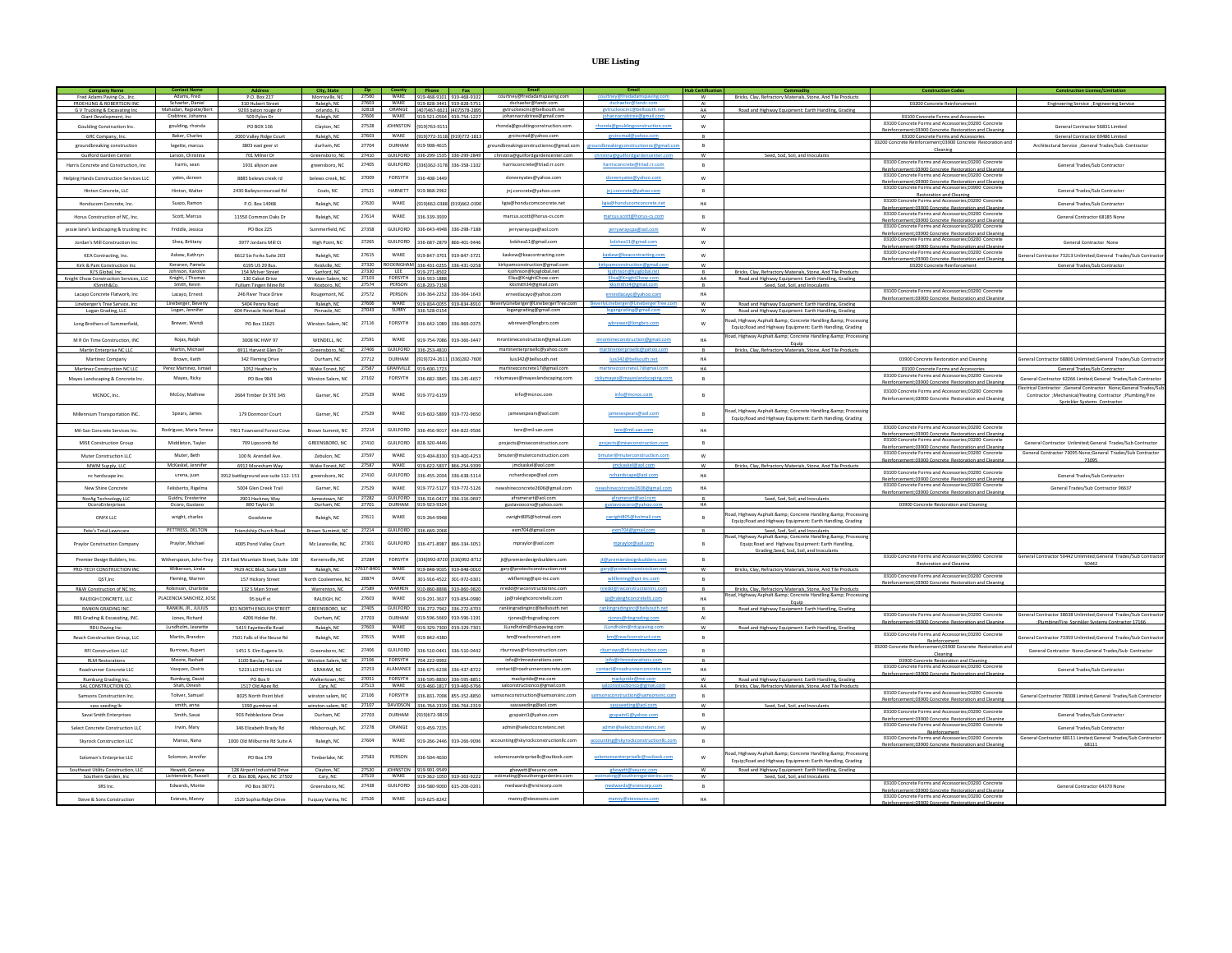## **UBE Listing**

|                                                           |                                             |                                                              | City. State                     |                |                                              |                                           |                                                        |                                                                   |                                       | lub Certif                  |                                                                                                                     |                                                                                                              |                                                                                                                  |
|-----------------------------------------------------------|---------------------------------------------|--------------------------------------------------------------|---------------------------------|----------------|----------------------------------------------|-------------------------------------------|--------------------------------------------------------|-------------------------------------------------------------------|---------------------------------------|-----------------------------|---------------------------------------------------------------------------------------------------------------------|--------------------------------------------------------------------------------------------------------------|------------------------------------------------------------------------------------------------------------------|
| Fred Adams Paving Co., Inc.<br>FROEHLING & ROBERTSON IN   | Adams, Fred<br>Schaefer, Daniel             | P.O. Box 227<br>310 Hubert Street                            | Morrisville, NC<br>Raleigh, NC  | 27603          | 27560 WAKE 919-468-9101 919-468-9102<br>WAKE | 919-828-3441 919-828-5751                 |                                                        | courtney@fredadamspaving.com<br>dschaefer@fandr.cor               |                                       | W                           | Bricks, Clay, Refractory Materials, Stone, And Tile Products                                                        | 03200 Concrete Reinforcemen                                                                                  | Engineering Service ; Engineering Service                                                                        |
| G V Trucking & Excavating In                              | Mahadan, Raipatie/Bert<br>Crabtree, Johanna | 9293 baton rouge                                             | orlando, FL                     | 27606          | 32818 ORANGE<br>WAKE                         |                                           | (407)467-6621 (407)578-2895                            | gytruckexcinc@bellsouth.net                                       |                                       | $\Delta\Delta$              | Road and Highway Equipment: Earth Handling. Grading                                                                 |                                                                                                              |                                                                                                                  |
| Giant Development, Inc.                                   | goulding, rhonda                            | 509 Pylon Dr<br>PO BOX 136                                   | Raleigh, NC                     | 27528          | <b>JOHNSTON</b>                              | 919-521-0594 919-754-1227<br>9191763-9151 |                                                        | johannacrabtree@gmail.com<br>rhonda@gouldingconstruction.com      |                                       | W<br>W                      |                                                                                                                     | 03100 Concrete Forms and Accessories<br>03100 Concrete Forms and Accessories;03200                           |                                                                                                                  |
| Goulding Construction Inc.                                | Baker, Charles                              |                                                              | Clayton, NC                     | 27603          | WAKE                                         |                                           | 19) 772-3118 (919) 772-1813                            |                                                                   | rhonda@gouldingconstruction.com       |                             |                                                                                                                     | Reinforcement:03900 Concrete Restoration and Cleaning                                                        | General Contractor 56831 Limited                                                                                 |
| GRC Company, Inc.<br>groundbreaking construction          | legette, marcus                             | 2000 Valley Ridge Court<br>3803 east geer st                 | Raleigh, NC<br>durham, NC       | 27704          | DURHAM                                       | 919-908-4615                              |                                                        | grcincmail@yahoo.com<br>troundbreakingconstructionnc@gmail.com    | groundbreakingconstructionnc@gmail.c  | $\mathsf R$<br>$\mathsf{B}$ |                                                                                                                     | 03100 Concrete Forms and Accessories<br>03200 Concrete Reinforcement:03900 Concrete Restoration and          | General Contractor 69486 Limited<br>Architectural Service : General Trades/Sub Contractor                        |
| Guilford Garden Center                                    | Larson, Christina                           | 701 Milner Dr                                                | Greensboro, NC                  | 27410          | <b>GUILFORD</b>                              |                                           | 36-299-1535 336-299-2849                               | christina@guilfordgardencenter.com                                |                                       | <b>W</b>                    | Seed, Sod, Soil, and Inoculants                                                                                     | Cleaning                                                                                                     |                                                                                                                  |
| Harris Concrete and Construction, Inc.                    | harris, sean                                | 1931 allyson ave                                             | greensboro, NC                  | 27405          | GUILFORD                                     |                                           | 3361362-3178 336-358-1102                              | harrisconcrete@triad.rr.com                                       | harrisconcrete@triad.rr.com           | B                           |                                                                                                                     | 03100 Concrete Forms and Accessories;03200 Concrete                                                          | General Trades/Sub Contractor                                                                                    |
|                                                           |                                             |                                                              |                                 |                |                                              |                                           |                                                        |                                                                   |                                       |                             |                                                                                                                     | Reinforcement:03900 Concrete Restoration and Cleaning<br>03100 Concrete Forms and Accessories;03200 Concrete |                                                                                                                  |
| Helping Hands Construction Services LLC                   | vates, doreen                               | 8885 belews creek rd                                         | belews creek. NC                | 27009          | FORSYTH                                      | 36-408-144                                |                                                        | doreenvates@vahoo.com                                             | doreenvates@vahoo.com                 | W                           |                                                                                                                     | Reinforcement:03900 Concrete Restoration and Cleaning<br>03100 Concrete Forms and Accessories:03900 Concrete |                                                                                                                  |
| Hinton Concrete, LLC                                      | Hinton, Walter                              | 2430 Baileyscrossroad Rd                                     | Coats, NC                       | 27521          | <b>HARNETT</b>                               | 919-868-296                               |                                                        | jnj.concrete@yahoo.com                                            | jnj.concrete@yahoo.com                | $\,$ B                      |                                                                                                                     | Restoration and Cleaning                                                                                     | General Trades/Sub Contracto                                                                                     |
| Honducom Concrete, Inc.                                   | Suazo, Ramon                                | P.O. Box 14968                                               | Raleigh, NC                     | 27620          | WAKE                                         | 9191662-0388 (9191662-0390                |                                                        | ligia@honducomconcrete.net                                        | ligia@honducomconcrete.net            | HA                          |                                                                                                                     | 03100 Concrete Forms and Accessories;03200 Concrete<br>Reinforcement:03900 Concrete Restoration and Cleaning | General Trades/Sub Contractor                                                                                    |
| Horus Construction of NC Inc.                             | Scott, Marcus                               | 11550 Common Oaks Dr                                         | Raleigh, NC                     | 27614          | WAKE                                         | 136-339-393                               |                                                        | marcus.scott@horus-cs.com                                         | marcus.scott@horus-cs.com             | $\overline{R}$              |                                                                                                                     | 03100 Concrete Forms and Accessories;03200 Concrete                                                          | General Contractor 68185 Non                                                                                     |
|                                                           | Friddle, Jessica                            |                                                              |                                 | 27358          | <b>GUILFORD</b>                              |                                           |                                                        | jerrywraycpa@aol.com                                              |                                       |                             |                                                                                                                     | Reinforcement:03900 Concrete Restoration and Cleaning<br>03100 Concrete Forms and Accessories:03200 Concrete |                                                                                                                  |
| jessie lane's landscaping & trucking inc                  |                                             | PO Box 225                                                   | Summerfield, NC                 |                |                                              |                                           | 336-643-4948 336-298-7188                              |                                                                   | jerrywraycpa@aol.com                  | W                           |                                                                                                                     | Reinforcement:03900 Concrete Restoration and Cleaning<br>03100 Concrete Forms and Accessories;03200          |                                                                                                                  |
| Jordan's Mill Construction Inc.                           | Shea, Brittany                              | 3977 Jordans Mill Ct                                         | High Point, NC                  | 27265          | GUILFORD                                     | 36-687-2879                               | 866-401-9446                                           | bdshea11@gmail.com                                                | bdshea11@gmail.com                    | w                           |                                                                                                                     | Reinforcement:03900 Concrete Restoration and Cleaning                                                        | General Contractor None                                                                                          |
| KEA Contracting, Inc.                                     | Askew, Kathryn                              | 6612 Six Forks Suite 203                                     | Raleigh, NC                     | 27615          | WAKE                                         | 919-847-3701                              | 919-847-3721                                           | kaskew@keacontracting.com                                         | kaskew@keacontracting.com             | W                           |                                                                                                                     | 03100 Concrete Forms and Accessories:03200 Concrete<br>Reinforcement:03900 Concrete Restoration and Cleaning | General Contractor 73213 Unlimited:General Trades/Sub Contract                                                   |
| Kirk & Pam Construction Inc                               | Keranen, Pamela                             | 6195 US 29 Bus.                                              | Reidville, NC                   |                | 27320 ROCKINGHAM 336-431-0255 336-431-0258   |                                           |                                                        | kirkpamconstruction@gmail.com                                     |                                       | w                           |                                                                                                                     | 03200 Concrete Reinforcement                                                                                 | General Trades/Sub Contractor                                                                                    |
| KJ'S Global, Inc.<br>Knight Chow Construction Services, L | Johnson, Karolyn<br>Knight, J Thoma         | 154 McIver Street<br>130 Cabot Drive                         | Sanford, NC<br>Winston-Salem, N | 27330<br>27103 | LEE<br><b>FORSYTH</b>                        | 919-271-8502<br>336-933-188               |                                                        | kjohnson@kjsglobal.net<br>Elisa@KnightChow.com                    |                                       | B<br>AA                     | Bricks, Clay, Refractory Materials, Stone, And Tile Products<br>Road and Highway Equipment: Earth Handling, Grading |                                                                                                              |                                                                                                                  |
| KSmith&Co.                                                | Smith, Kevin                                | Pulliam Tingen Mine Rd                                       | Roxboro, NC                     | 27574          | PERSON                                       | 618-203-7158                              |                                                        | kksmith34@gmail.com                                               |                                       |                             | Seed. Sod. Soil. and Inoculants                                                                                     | 03100 Concrete Forms and Accessories:03200 Concrete                                                          |                                                                                                                  |
| Lacavo Concrete Flatwork, Inc.                            | Lacavo, Ernest                              | 246 River Trace Drive                                        | Rougemont, NC                   | 27572          | PERSON                                       | 336-364-2252                              | 336-364-1643                                           | ernestlacavo@vahoo.com                                            | ernestlacavo@vahoo.com                | HA                          |                                                                                                                     | Reinforcement:03900 Concrete Restoration and Cleaning                                                        |                                                                                                                  |
| Lineberger's Tree Service, Inc.<br>Logan Grading, LLC     | Lineberger, Beverly<br>Logan, Jennifer      | 5404 Penny Road<br>604 Pinnacle Hotel Road                   | Raleigh, NC<br>Pinnacle, NC     | 27606<br>27043 | WAKE<br>SURRY                                | 36-528-015                                | 919-834-0055 919-834-8910                              | BeverlyLineberger@LinebergerTree.com<br>logangrading@gmail.com    |                                       | ${\sf W}$<br><b>W</b>       | Road and Highway Equipment: Earth Handling, Grading<br>Road and Highway Equipment: Earth Handling, Grading          |                                                                                                              |                                                                                                                  |
|                                                           |                                             |                                                              |                                 |                |                                              |                                           |                                                        |                                                                   |                                       |                             | oad, Highway Asphalt & Concrete Handling & Processing                                                               |                                                                                                              |                                                                                                                  |
| Long Brothers of Summerfield,                             | Brewer, Wendi                               | PO Box 11625                                                 | Winston-Salem, NC               | 27116          | FORSYTH                                      | 336-642-1089                              | 336-969-0375                                           | wbrewer@longbro.com                                               | wbrewer@longbro.com                   | W                           | Equip; Road and Highway Equipment: Earth Handling, Grading                                                          |                                                                                                              |                                                                                                                  |
| M R On Time Construction, INC                             | Rojas, Ralph                                | 3008 NC HWY 97                                               | WENDELL, NC                     | 27591          | WAKE                                         | 319-754-7086                              | 919-366-3447                                           | mrontimeconstruction@gmail.com                                    | mrontimeconstruction@gmail.com        | HA                          | oad, Highway Asphalt & Concrete Handling & Processing                                                               |                                                                                                              |                                                                                                                  |
| Martin Enterprise NC LLC                                  | Martin, Michael                             | 6911 Harvest Glen Dr                                         | Greensboro. NC                  | 27406          | GUILFORD                                     | 336-253-4810                              |                                                        | martinenterprisellc@yahoo.com                                     |                                       | B                           | Bricks. Clav. Refractory Materials. Stone. And Tile Products.                                                       |                                                                                                              |                                                                                                                  |
| Martinez Company                                          | Brown, Keith                                | 342 Fleming Drive                                            | Durham, NC                      | 27712          | <b>DURHAM</b>                                |                                           | 191724-2611 (3361282-7600                              | luis342@bellsouth.net                                             | luis342@bellsouth.net                 | HA                          |                                                                                                                     | 03900 Concrete Restoration and Cleaning                                                                      | eneral Contractor 68806 Unlimited:General Trades/Sub Contract                                                    |
| Martinez Construction NC LL                               | Perez Martinez, Isma                        | 1052 Heather In                                              | Wake Forest, NC                 | 27587          | GRANVILLE                                    | 19-600-172                                |                                                        | martinezconcrete17@gmail.com                                      |                                       | HA                          |                                                                                                                     | 03100 Concrete Forms and Accessories                                                                         | General Trades/Sub Contracto                                                                                     |
| Mayes Landscaping & Concrete Inc.                         | Mayes, Ricky                                | PO Box 984                                                   | Winston Salem, NC               | 27102          | FORSYTH                                      | 336-682-3845                              | 336-245-4657                                           | rickymayes@mayeslandscaping.com                                   | rickymayes@mayeslandscaping.com       | B                           |                                                                                                                     | 03100 Concrete Forms and Accessories;03200 Concrete<br>ement:03900 Concrete Restoration and Cleanin          | General Contractor 62266 Limited:General Trades/Sub Contracto                                                    |
| MCNOC, Inc.                                               | McCoy, Mathew                               | 2664 Timber Dr STE 345                                       | Garner, NC                      | 27529          | WAKE                                         | 919-772-615                               |                                                        | info@mcnoc.com                                                    | info@mcnoc.com                        | $\overline{B}$              |                                                                                                                     | 03100 Concrete Forms and Accessories:03200 Concrete                                                          | ectrical Contractor :General Contractor None:General Trades/Su                                                   |
|                                                           |                                             |                                                              |                                 |                |                                              |                                           |                                                        |                                                                   |                                       |                             |                                                                                                                     | Reinforcement:03900 Concrete Restoration and Cleaning                                                        | Contractor ; Mechanical/Heating Contractor ; Plumbing/Fire<br>Sprinkler Systems Contractor                       |
| Millennium Transportation INC                             | Spears, James                               | 179 Donmoor Court                                            | Garner, NC                      | 27529          | WAKE                                         | 919-602-5899                              | 919-772-9650                                           | jamesespears@aol.com                                              | jamesespears@aol.com                  | $\overline{B}$              | nad Highway Asnhalt &amn: Concrete Handling &amn: Processin                                                         |                                                                                                              |                                                                                                                  |
|                                                           |                                             |                                                              |                                 |                |                                              |                                           |                                                        |                                                                   |                                       |                             | Equip; Road and Highway Equipment: Earth Handling, Grading                                                          |                                                                                                              |                                                                                                                  |
| Mil-San Concrete Services Inc.                            | Rodriguez, Maria Teresa                     | 7401 Townsend Forest Cove                                    | Brown Summit, NC                | 27214          | GUILFORD                                     | 336-456-9017                              | 434-822-9506                                           | tere@mil-san.com                                                  | tere@mil-san.com                      | HA                          |                                                                                                                     | 03100 Concrete Forms and Accessories:03200 Concrete<br>Reinforcement:03900 Concrete Restoration and Cleaning |                                                                                                                  |
| MISE Construction Group                                   | Middleton, Tayler                           | 709 Lipscomb Rd                                              | GREENSBORO, NC                  | 27410          | <b>GUILFORD</b>                              | 828-320-444                               |                                                        | projects@miseconstruction.com                                     | projects@miseconstruction.com         | $\mathsf{B}$                |                                                                                                                     | 03100 Concrete Forms and Accessories:03200 Concrete<br>Reinforcement:03900 Concrete Restoration and Cleaning | General Contractor Unlimited; General Trades/Sub Contracto                                                       |
| Muter Construction LLC                                    | Muter, Beth                                 | 100 N. Arendell Ave.                                         | Zebulon, NC                     | 27597          | WAKE                                         |                                           | 919-404-8330 919-400-4253                              | bmuter@muterconstruction.com                                      | bmuter@muterconstruction.com          | w                           |                                                                                                                     | 03100 Concrete Forms and Accessories;03200 Concrete                                                          | General Contractor 73095 None;General Trades/Sub Contractor                                                      |
| MWM Supply, LLC                                           | McKaskel, Jennife                           | 6912 Moresham Way                                            | Wake Forest, NC                 | 27587          | WAKE                                         | 19-622-5837                               | 866-254-9399                                           | jmckaskel@aol.con                                                 |                                       | W                           | Bricks, Clav, Refractory Materials, Stone, And Tile Product:                                                        | Reinforcement:03900 Concrete, Restoration and Cleanin                                                        | 7309                                                                                                             |
| nc hardscape inc.                                         | urena, juan                                 | 3912 battleground ave suite 112-151                          | greensboro, NC                  | 27410          | GUILFORD                                     | 336-455-2034                              | 336-638-5114                                           | nchardscape@aol.com                                               | nchardscape@aol.com                   | HA                          |                                                                                                                     | 03100 Concrete Forms and Accessories:03200 Concrete                                                          | General Trades/Sub Contractor                                                                                    |
| New Shine Concrete                                        | Felisherto Rigelma                          | 5004 Glen Creek Trail                                        | Garner, NC                      | 27529          | <b>WAKE</b>                                  | 19-772-512                                | 919-772-512                                            | newshineconcrete2606@gmail.com                                    | newshineco                            | HA                          |                                                                                                                     | Reinforcement:03900 Concrete Restoration and Cleaning<br>03100 Concrete Forms and Accessories:03200 Concrete | General Trades/Sub Contractor 96637                                                                              |
| NorAg Technology, LLC                                     | Guidry, Eresterine                          | 2901 Hackney Way                                             | Jamestown, NC                   | 27282          | GUILFORD                                     |                                           | 336-316-0417 336-316-0697                              | aframerart@aol.com                                                |                                       | B                           | Seed, Sod, Soil, and Inoculants                                                                                     | Reinforcement:03900 Concrete Restoration and Cleaning                                                        |                                                                                                                  |
| OcoroEnternrise                                           | Ocoro, Gustavo                              | 800 Taylor St                                                | Durham NC                       | 27701          |                                              | 919-923-9324                              |                                                        | gustavoocoro@yahoo.con                                            |                                       | HA                          |                                                                                                                     | 03900 Concrete Restoration and Cleaning                                                                      |                                                                                                                  |
| ONYX LLC                                                  | wright, charles                             | Goodston                                                     | Raleigh, NC                     | 27611          | WAKE                                         | 19-264-994                                |                                                        | cwright805@hotmail.com                                            | cwright805@hotmail.com                | $\overline{B}$              | ad. Highway Asphalt &: Concrete Handling &: Processing                                                              |                                                                                                              |                                                                                                                  |
|                                                           |                                             |                                                              |                                 |                |                                              |                                           |                                                        |                                                                   |                                       |                             | Equip: Road and Highway Equipment: Earth Handling, Grading                                                          |                                                                                                              |                                                                                                                  |
| Pete's Total Lawncare                                     | PETTRESS, DELTON                            | Friendship Church Road                                       | Brown Sumimit, NC               | 27214          | GUILFORD                                     | 336-669-2068                              |                                                        | exm704@gmail.com                                                  |                                       | <b>B</b>                    | Seed, Sod, Soil, and Inoculants<br>oad, Highway Asphalt &: Concrete Handling &: Processin                           |                                                                                                              |                                                                                                                  |
| Praylor Construction Company                              | Praylor, Michael                            | 4005 Pond Valley Court                                       | Mc Leansville, NC               | 27301          | GUILFORD                                     |                                           | 336-471-8987 866-334-3051                              | mpraylor@aol.com                                                  | mpraylor@aol.com                      | B                           | Equip: Road and Highway Equipment: Earth Handling.                                                                  |                                                                                                              |                                                                                                                  |
| Premier Design Builders, Inc.                             | Witherspoon, John-Troy                      | 214 East Mountain Street, Suite 100                          | Kernersville, NC                | 27284          | FORSYTH                                      |                                           | 3361992-8720 (3361992-8712                             | jt@premierdesignbuilders.com                                      | jt@premierdesignbuilders.com          | B                           | Grading:Seed, Sod, Soil, and Inoculants                                                                             | 03100 Concrete Forms and Accessories;03900 Concrete                                                          | General Contractor 50442 Unlimited;General Trades/Sub Contract                                                   |
| PRO-TECH CONSTRUCTION INC                                 | Wilkerson, Linda                            | 7429 ACC Blvd. Suite 109                                     | Raleigh, NC                     | 7617-8401      | WAKE                                         |                                           | 919-848-9035 919-848-0010                              | gary@protechconstruction.net                                      |                                       | w                           | Bricks. Clav. Refractory Materials. Stone. And Tile Products                                                        | Restoration and Cleaning                                                                                     | 50442                                                                                                            |
| QST.Inc                                                   | Fleming, Warren                             | 157 Hickory Street                                           | North Cooleemee, N              | 20874          | DAVIE                                        | 01-916-4522                               | 301-972-6301                                           | wkfleming@qst-inc.com                                             | wkfleming@qst-inc.com                 | $\overline{B}$              |                                                                                                                     | 03100 Concrete Forms and Accessories:03200 Concrete                                                          |                                                                                                                  |
| R&W Construction of NC Inc.                               | Robinson, Charlotte                         | 132 S Main Street                                            | Warrenton, NC                   | 27589          | WARREN                                       |                                           | 910-860-8898 910-860-9820                              | nredd@rwconstructioninc.com                                       |                                       | B                           | Bricks, Clay, Refractory Materials, Stone, And Tile Products                                                        | Reinforcement:03900 Concrete Restoration and Cleaning                                                        |                                                                                                                  |
| RALEIGH CONCRETE, LLC                                     | LACENCIA SANCHEZ, JOSI                      | 95 bluff st                                                  | RALEIGH, NC                     | 27603          | WAKE                                         | 19-291-3637                               | 919-854-0980                                           | jp@raleighconcretellc.com                                         | jp@raleighconcretellc.com             | HA                          | ad, Highway Asphalt & Concrete Handling & Processin<br>Fouin                                                        |                                                                                                              |                                                                                                                  |
| RANKIN GRADING INC.                                       | RANKIN, JR., JULIUS                         | 821 NORTH ENGLISH STREET                                     | GREENSBORO, NC                  | 27405          | GUILFORD                                     |                                           | 336-272-7942 336-272-6703                              | rankingradinginc@bellsouth.net                                    |                                       | B                           | Road and Highway Equipment: Earth Handling, Grading                                                                 |                                                                                                              |                                                                                                                  |
| RBS Grading & Excavating, INC.                            | Jones, Richard                              | 4206 Holder Rd.                                              | Durham, NC                      | 27703          | DURHAM                                       |                                           | 19-596-5669 919-596-1191                               | rjones@rbsgrading.com                                             | riones@rbsgrading.com                 | AI                          |                                                                                                                     | 03100 Concrete Forms and Accessories;03200 Concrete<br>Reinforcement:03900 Concrete Restoration and Cleaning | eral Contractor 38638 Unlimited:General Trades/Sub Contract<br>:Plumbing/Fire_Sprinkler Systems Contractor 17166 |
| RDU Paving Inc                                            | Lundholm, Jeanette                          | 5415 Favetteville Road                                       | Raleigh, NC                     | 27603          | WAKE                                         |                                           | 919-329-7300 919-329-7301                              | JLundholm@rdupaving.com                                           |                                       | <b>W</b>                    | Road and Highway Equipment: Earth Handling, Grading                                                                 | 03100 Concrete Forms and Accessories;03200 Concrete                                                          |                                                                                                                  |
| Reach Construction Group, LLC                             | Martin, Brandon                             | 7501 Falls of the Neuse Rd                                   | Raleigh, NC                     | 27615          | WAKE                                         | 919-842-4380                              |                                                        | bm@reachconstruct.com                                             | bm@reachconstruct.com                 | $\overline{B}$              |                                                                                                                     | Reinforcement                                                                                                | General Contractor 73359 Unlimited:General Trades/Sub Contract                                                   |
| <b>RFI Construction LLC</b>                               | Burrows, Rupert                             | 1451 S. Elm Eugene St.                                       | Greensboro, NC                  | 27406          | GUILFORD                                     |                                           | 336-510-0441 336-510-0442                              | rburrows@rficonstruction.com                                      | rburrows@rficonstruction.com          | B                           |                                                                                                                     | 3200 Concrete Reinforcement:03900 Concrete Restoration and<br>Cleaning                                       | General Contractor None:General Trades/Sub Contractor                                                            |
| <b>RLM Restorations</b>                                   | Moore, Rashad                               | 1100 Barclav Terrace                                         | Winston Salem. NC               | 27106          | FORSYTH                                      | 04-222-9992                               |                                                        | info@rlmrestorations.com                                          |                                       | $\mathsf{R}$                |                                                                                                                     | 03900 Concrete Restoration and Cleaning                                                                      |                                                                                                                  |
| Roadrunner Concrete LLC                                   | Vasquez, Ossiris                            | 5223 LLOYD HILL LN                                           | GRAHAM, NC                      | 27253          | ALAMANCE                                     |                                           | 336-675-6238 336-437-8722                              | contact@roadrunnerconcrete.com                                    | contact@roadrunnerconcrete.com        | HA                          |                                                                                                                     | 03100 Concrete Forms and Accessories;03200 Concrete<br>Reinforcement:03900 Concrete Restoration and Cleaning | General Trades/Sub Contractor                                                                                    |
| Rumburg Grading Inc                                       | Rumburg, David<br>Shah, Dinesh              | PO Box 9                                                     | Walkertown, NC                  | 27051          | FORSYTH<br>WAKE                              | 336-595-8830 336-595-8851                 |                                                        | mackpride@me.com                                                  |                                       | <b>W</b>                    | Road and Highway Equipment: Earth Handling, Grading                                                                 |                                                                                                              |                                                                                                                  |
| SAL CONSTRUCTION CO.<br>Samsons Construction Inc.         | Toliver, Samuel                             | 1517 Old Apex Rd<br>8025 North Point blvd                    | Cary, NC<br>winston salem, NC   | 27513<br>27106 | FORSYTH                                      |                                           | 919-460-1817 919-460-6766<br>336-831-7098 855-352-8850 | salconstructionco@gmail.con<br>samsonsconstruction@samsonsinc.com | samsonsconstruction@samsonsinc.com    | AA<br>$\overline{R}$        | Bricks, Clay, Refractory Materials, Stone, And Tile Product:                                                        | 03100 Concrete Forms and Accessories;03200 Concrete                                                          | General Contractor 78308 Limited; General Trades/Sub Contracto                                                   |
| sass seeding lic                                          | smith, anna                                 | 1390 gumtree rd.                                             | winston-salem, NC               | 27107          | DAVIDSON                                     |                                           | 336-764-2319 336-764-2319                              | sassseeding@aol.com                                               |                                       | <b>W</b>                    | Seed, Sod, Soil, and Inoculants                                                                                     | Reinforcement:03900 Concrete Restoration and Cleaning                                                        |                                                                                                                  |
| Savai Smith Enterprises                                   | Smith, Savai                                | 903 Pebblestone Drive                                        | Durham, NC                      | 27703          | <b>DURHAM</b>                                | 9191672-9819                              |                                                        | gcspaint1@yahoo.com                                               | gcspaint1@yahoo.com                   | $\overline{B}$              |                                                                                                                     | 03100 Concrete Forms and Accessories:03200 Concret                                                           | General Trades/Sub Contractor                                                                                    |
| Select Concrete Construction LLC                          | Irwin, Mary                                 | 346 Flizabeth Brady Rd                                       | Hillshorough NC                 | 27278          | ORANGE                                       | 919-459-7235                              |                                                        | admin@selectconcretenc.net                                        | admin@selectconcretenc.net            | W                           |                                                                                                                     | Reinforcement:03900 Concrete Restoration and Cleaning<br>03100 Concrete Forms and Accessories:03200 Concrete | General Trades/Sub Contractor                                                                                    |
|                                                           |                                             |                                                              |                                 |                |                                              |                                           |                                                        |                                                                   |                                       |                             |                                                                                                                     | Reinforcement<br>03100 Concrete Forms and Accessories:03200 Concrete                                         | General Contractor 68111 Limited:General Trades/Sub Contractor                                                   |
| <b>Skyrock Construction LLC</b>                           | Manso, Nana                                 | 1000 Old Milburnie Rd Suite A                                | Raleigh, NC                     | 27604          | <b>WAKE</b>                                  | 19-266-2446                               | 919-266-9096                                           | accounting@skyrockconstructionllc.com                             | accounting@skyrockconstructionlic.com | $\overline{B}$              |                                                                                                                     | Reinforcement-03900 Concrete Restoration and Cleanin                                                         | 68111                                                                                                            |
| Solomon's Enternrise LLC                                  | Solomon, Jennifer                           | <b>PO Box 179</b>                                            | Timberlake NC                   | 27583          | PERSON                                       | 336-504-463                               |                                                        | solomonsenterprisellc@outlook.com                                 | solomonsenterprisellc@outlook.com     | W                           | oad, Highway Asphalt & Concrete Handling & Processing                                                               |                                                                                                              |                                                                                                                  |
|                                                           |                                             |                                                              |                                 |                | <b>IOHNSTON</b>                              |                                           |                                                        |                                                                   |                                       |                             | Equip; Road and Highway Equipment: Earth Handling, Grading                                                          |                                                                                                              |                                                                                                                  |
| Southeast Utility Construction, LLC<br>Southern Garden In | Hewett, Geneva<br>Lichtenstein, Russell     | 128 Airport Industrial Drive<br>P.O. Box 808, Anex, NC 27502 | Clayton, NC<br>Cary NO          | 27520<br>27519 | WAKE                                         | 919-901-9549<br>19-362-1050               | 19.262.97                                              | ghewett@seucnc.com<br>estimating@southerngardeninc.cor            |                                       | W                           | Road and Highway Equipment: Earth Handling, Grading<br>Seed, Sod, Soil, and Inocular                                |                                                                                                              |                                                                                                                  |
| SRS Inc.                                                  | Edwards, Monte                              | PO Rox 38771                                                 | Greenshoro NC                   | 27438          | GUILFORD                                     | 336-580-9000 615-206-0201                 |                                                        | medwards@srsincorp.com                                            | medwards@srsincorp.com                | R                           |                                                                                                                     | 03100 Concrete Forms and Accessories:03200 Concrete                                                          | General Contractor 64370 None                                                                                    |
| Steve & Sons Construction                                 | Esteves, Mann                               | 1529 Sophia Ridge Drive                                      | Fuquay Varina, NC               | 27526          | WAKE                                         | 919-625-824                               |                                                        | manny@stevesons.com                                               | manny@stevesons.com                   | HA                          |                                                                                                                     | rcement:03900 Concrete Restoration and Cleaning<br>03100 Concrete Forms and Accessories:03200 Concrete       |                                                                                                                  |
|                                                           |                                             |                                                              |                                 |                |                                              |                                           |                                                        |                                                                   |                                       |                             |                                                                                                                     | ent:03900 Concrete, Restoration and Cle                                                                      |                                                                                                                  |